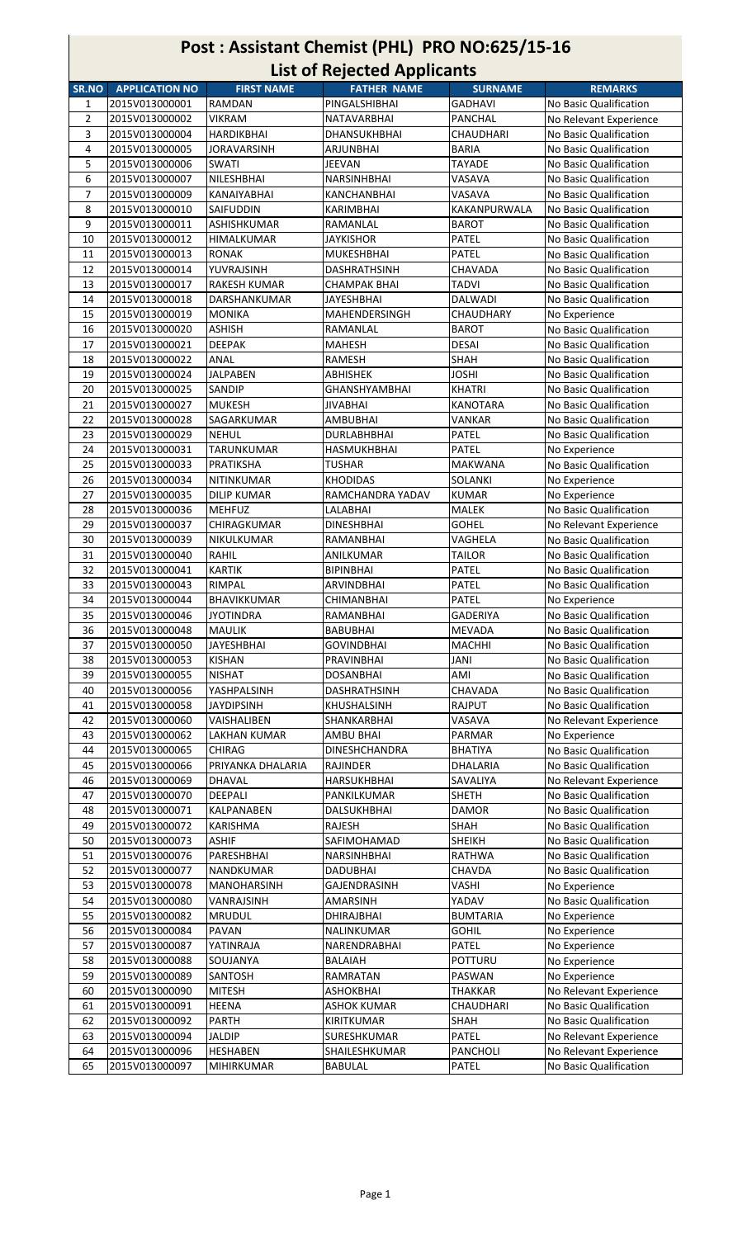| Post: Assistant Chemist (PHL) PRO NO:625/15-16<br><b>List of Rejected Applicants</b> |                                  |                                 |                                |                          |                                         |  |
|--------------------------------------------------------------------------------------|----------------------------------|---------------------------------|--------------------------------|--------------------------|-----------------------------------------|--|
| SR.NO                                                                                | <b>APPLICATION NO</b>            | <b>FIRST NAME</b>               | <b>FATHER NAME</b>             | <b>SURNAME</b>           | <b>REMARKS</b>                          |  |
| 1                                                                                    | 2015V013000001                   | <b>RAMDAN</b>                   | PINGALSHIBHAI                  | GADHAVI                  | No Basic Qualification                  |  |
| $\overline{2}$                                                                       | 2015V013000002                   | <b>VIKRAM</b>                   | <b>NATAVARBHAI</b>             | <b>PANCHAL</b>           | No Relevant Experience                  |  |
| 3                                                                                    | 2015V013000004                   | <b>HARDIKBHAI</b>               | DHANSUKHBHAI                   | <b>CHAUDHARI</b>         | No Basic Qualification                  |  |
| 4                                                                                    | 2015V013000005                   | <b>JORAVARSINH</b>              | ARJUNBHAI                      | <b>BARIA</b>             | No Basic Qualification                  |  |
| 5                                                                                    | 2015V013000006                   | <b>SWATI</b>                    | JEEVAN                         | <b>TAYADE</b>            | No Basic Qualification                  |  |
| 6                                                                                    | 2015V013000007                   | NILESHBHAI                      | <b>NARSINHBHAI</b>             | VASAVA                   | No Basic Qualification                  |  |
| 7                                                                                    | 2015V013000009                   | <b>KANAIYABHAI</b>              | <b>KANCHANBHAI</b>             | VASAVA                   | No Basic Qualification                  |  |
| 8                                                                                    | 2015V013000010                   | SAIFUDDIN                       | KARIMBHAI                      | KAKANPURWALA             | No Basic Qualification                  |  |
| 9                                                                                    | 2015V013000011                   | ASHISHKUMAR                     | RAMANLAL                       | BAROT                    | No Basic Qualification                  |  |
| 10                                                                                   | 2015V013000012                   | <b>HIMALKUMAR</b>               | JAYKISHOR                      | PATEL                    | No Basic Qualification                  |  |
| 11                                                                                   | 2015V013000013                   | <b>RONAK</b>                    | <b>MUKESHBHAI</b>              | PATEL                    | No Basic Qualification                  |  |
| 12                                                                                   | 2015V013000014                   | YUVRAJSINH                      | DASHRATHSINH                   | CHAVADA                  | No Basic Qualification                  |  |
| 13                                                                                   | 2015V013000017                   | <b>RAKESH KUMAR</b>             | <b>CHAMPAK BHAI</b>            | <b>TADVI</b>             | No Basic Qualification                  |  |
| 14                                                                                   | 2015V013000018                   | <b>DARSHANKUMAR</b>             | <b>JAYESHBHAI</b>              | <b>DALWADI</b>           | No Basic Qualification                  |  |
| 15                                                                                   | 2015V013000019                   | <b>MONIKA</b>                   | MAHENDERSINGH                  | <b>CHAUDHARY</b>         | No Experience                           |  |
| 16                                                                                   | 2015V013000020                   | <b>ASHISH</b>                   | RAMANLAL                       | <b>BAROT</b>             | No Basic Qualification                  |  |
| 17                                                                                   | 2015V013000021                   | <b>DEEPAK</b>                   | <b>MAHESH</b>                  | DESAI                    | No Basic Qualification                  |  |
| 18                                                                                   | 2015V013000022                   | ANAL                            | <b>RAMESH</b>                  | SHAH                     | No Basic Qualification                  |  |
| 19                                                                                   | 2015V013000024                   | <b>JALPABEN</b>                 | <b>ABHISHEK</b>                | <b>JOSHI</b>             | No Basic Qualification                  |  |
| 20                                                                                   | 2015V013000025                   | <b>SANDIP</b>                   | <b>GHANSHYAMBHAI</b>           | <b>KHATRI</b>            | No Basic Qualification                  |  |
| 21                                                                                   | 2015V013000027                   | <b>MUKESH</b>                   | <b>JIVABHAI</b>                | <b>KANOTARA</b>          | No Basic Qualification                  |  |
| 22                                                                                   | 2015V013000028                   | SAGARKUMAR                      | <b>AMBUBHAI</b>                | VANKAR                   | No Basic Qualification                  |  |
| 23                                                                                   | 2015V013000029                   | <b>NEHUL</b>                    | <b>DURLABHBHAI</b>             | PATEL                    | No Basic Qualification                  |  |
| 24                                                                                   | 2015V013000031                   | <b>TARUNKUMAR</b>               | HASMUKHBHAI                    | <b>PATEL</b>             | No Experience                           |  |
| 25                                                                                   | 2015V013000033                   | PRATIKSHA                       | <b>TUSHAR</b>                  | <b>MAKWANA</b>           | No Basic Qualification                  |  |
| 26                                                                                   | 2015V013000034                   | <b>NITINKUMAR</b>               | <b>KHODIDAS</b>                | SOLANKI                  | No Experience                           |  |
| 27                                                                                   | 2015V013000035                   | <b>DILIP KUMAR</b>              | RAMCHANDRA YADAV               | <b>KUMAR</b>             | No Experience                           |  |
| 28                                                                                   | 2015V013000036                   | <b>MEHFUZ</b>                   | LALABHAI                       | <b>MALEK</b>             | No Basic Qualification                  |  |
| 29                                                                                   | 2015V013000037                   | CHIRAGKUMAR                     | <b>DINESHBHAI</b>              | <b>GOHEL</b>             | No Relevant Experience                  |  |
| 30                                                                                   | 2015V013000039                   | <b>NIKULKUMAR</b>               | RAMANBHAI                      | VAGHELA                  | No Basic Qualification                  |  |
| 31                                                                                   | 2015V013000040                   | <b>RAHIL</b>                    | ANILKUMAR                      | TAILOR                   | No Basic Qualification                  |  |
| 32                                                                                   | 2015V013000041                   | <b>KARTIK</b>                   | <b>BIPINBHAI</b>               | PATEL                    | No Basic Qualification                  |  |
| 33                                                                                   | 2015V013000043                   | RIMPAL                          | ARVINDBHAI                     | PATEL                    | No Basic Qualification                  |  |
| 34                                                                                   | 2015V013000044<br>2015V013000046 | BHAVIKKUMAR<br><b>JYOTINDRA</b> | <b>CHIMANBHAI</b><br>RAMANBHAI | PATEL<br><b>GADERIYA</b> | No Experience<br>No Basic Qualification |  |
| 35<br>36                                                                             | 2015V013000048                   | <b>MAULIK</b>                   | <b>BABUBHAI</b>                | <b>MEVADA</b>            | No Basic Qualification                  |  |
| 37                                                                                   | 2015V013000050                   | <b>JAYESHBHAI</b>               | <b>GOVINDBHAI</b>              | <b>MACHHI</b>            | No Basic Qualification                  |  |
| 38                                                                                   | 2015V013000053                   | <b>KISHAN</b>                   | PRAVINBHAI                     | JANI                     | No Basic Qualification                  |  |
| 39                                                                                   | 2015V013000055                   | <b>NISHAT</b>                   | <b>DOSANBHAI</b>               | AMI                      | No Basic Qualification                  |  |
| 40                                                                                   | 2015V013000056                   | YASHPALSINH                     | DASHRATHSINH                   | CHAVADA                  | No Basic Qualification                  |  |
| 41                                                                                   | 2015V013000058                   | <b>JAYDIPSINH</b>               | KHUSHALSINH                    | RAJPUT                   | No Basic Qualification                  |  |
| 42                                                                                   | 2015V013000060                   | VAISHALIBEN                     | SHANKARBHAI                    | VASAVA                   | No Relevant Experience                  |  |
| 43                                                                                   | 2015V013000062                   | <b>LAKHAN KUMAR</b>             | <b>AMBU BHAI</b>               | PARMAR                   | No Experience                           |  |
| 44                                                                                   | 2015V013000065                   | CHIRAG                          | DINESHCHANDRA                  | <b>BHATIYA</b>           | No Basic Qualification                  |  |
| 45                                                                                   | 2015V013000066                   | PRIYANKA DHALARIA               | RAJINDER                       | DHALARIA                 | No Basic Qualification                  |  |
| 46                                                                                   | 2015V013000069                   | <b>DHAVAL</b>                   | <b>HARSUKHBHAI</b>             | SAVALIYA                 | No Relevant Experience                  |  |
| 47                                                                                   | 2015V013000070                   | <b>DEEPALI</b>                  | PANKILKUMAR                    | <b>SHETH</b>             | No Basic Qualification                  |  |
| 48                                                                                   | 2015V013000071                   | <b>KALPANABEN</b>               | DALSUKHBHAI                    | DAMOR                    | No Basic Qualification                  |  |
| 49                                                                                   | 2015V013000072                   | <b>KARISHMA</b>                 | RAJESH                         | SHAH                     | No Basic Qualification                  |  |
| 50                                                                                   | 2015V013000073                   | <b>ASHIF</b>                    | SAFIMOHAMAD                    | <b>SHEIKH</b>            | No Basic Qualification                  |  |
| 51                                                                                   | 2015V013000076                   | PARESHBHAI                      | <b>NARSINHBHAI</b>             | <b>RATHWA</b>            | No Basic Qualification                  |  |
| 52                                                                                   | 2015V013000077                   | NANDKUMAR                       | <b>DADUBHAI</b>                | CHAVDA                   | No Basic Qualification                  |  |
| 53                                                                                   | 2015V013000078                   | <b>MANOHARSINH</b>              | GAJENDRASINH                   | VASHI                    | No Experience                           |  |
| 54                                                                                   | 2015V013000080                   | VANRAJSINH                      | <b>AMARSINH</b>                | YADAV                    | No Basic Qualification                  |  |
| 55                                                                                   | 2015V013000082                   | <b>MRUDUL</b>                   | DHIRAJBHAI                     | <b>BUMTARIA</b>          | No Experience                           |  |
| 56                                                                                   | 2015V013000084                   | <b>PAVAN</b>                    | NALINKUMAR                     | <b>GOHIL</b>             | No Experience                           |  |
| 57                                                                                   | 2015V013000087                   | YATINRAJA                       | NARENDRABHAI                   | PATEL                    | No Experience                           |  |
| 58                                                                                   | 2015V013000088                   | SOUJANYA                        | <b>BALAIAH</b>                 | POTTURU                  | No Experience                           |  |
| 59                                                                                   | 2015V013000089                   | <b>SANTOSH</b>                  | RAMRATAN                       | PASWAN                   | No Experience                           |  |
| 60                                                                                   | 2015V013000090                   | <b>MITESH</b>                   | <b>ASHOKBHAI</b>               | <b>THAKKAR</b>           | No Relevant Experience                  |  |
| 61                                                                                   | 2015V013000091                   | <b>HEENA</b>                    | <b>ASHOK KUMAR</b>             | CHAUDHARI                | No Basic Qualification                  |  |
| 62                                                                                   | 2015V013000092                   | <b>PARTH</b>                    | KIRITKUMAR                     | SHAH                     | No Basic Qualification                  |  |
| 63                                                                                   | 2015V013000094                   | <b>JALDIP</b>                   | SURESHKUMAR                    | PATEL                    | No Relevant Experience                  |  |
| 64                                                                                   | 2015V013000096                   | <b>HESHABEN</b>                 | SHAILESHKUMAR                  | PANCHOLI                 | No Relevant Experience                  |  |
| 65                                                                                   | 2015V013000097                   | <b>MIHIRKUMAR</b>               | <b>BABULAL</b>                 | PATEL                    | No Basic Qualification                  |  |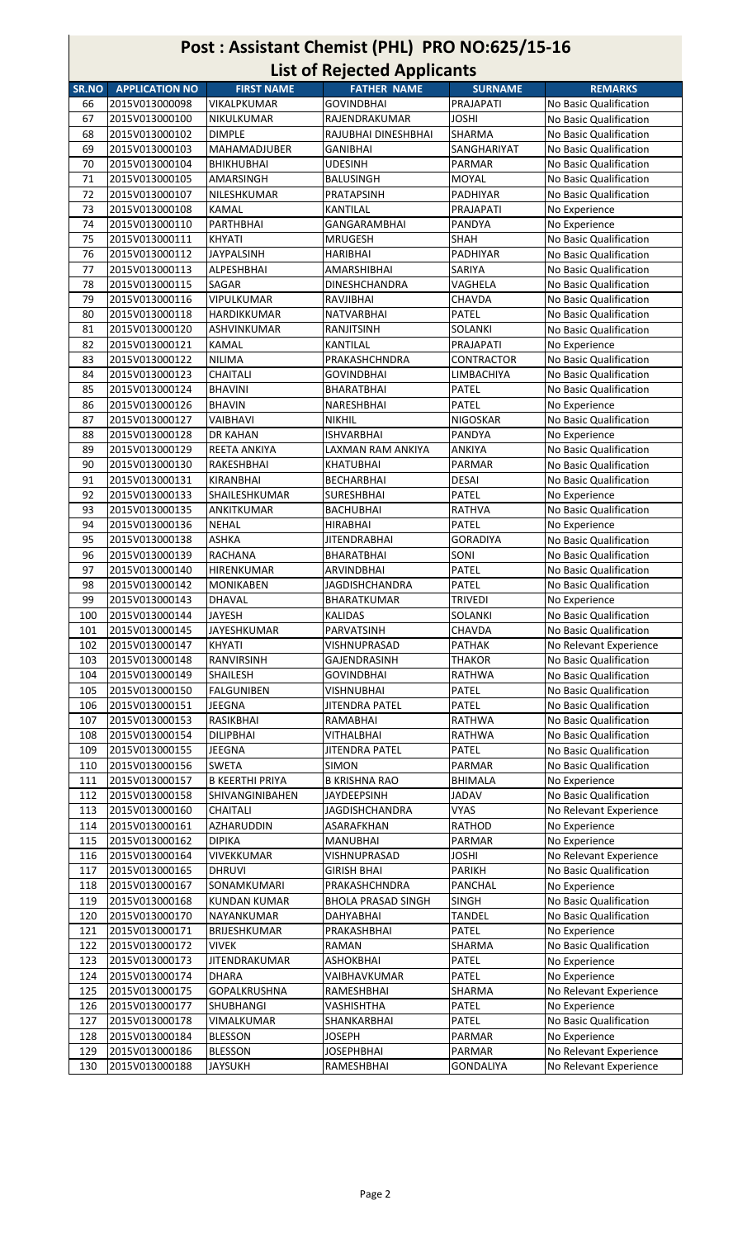| Post: Assistant Chemist (PHL) PRO NO:625/15-16<br><b>List of Rejected Applicants</b> |                                  |                                |                                  |                                 |                                                  |  |
|--------------------------------------------------------------------------------------|----------------------------------|--------------------------------|----------------------------------|---------------------------------|--------------------------------------------------|--|
| SR.NO                                                                                | <b>APPLICATION NO</b>            | <b>FIRST NAME</b>              | <b>FATHER NAME</b>               | <b>SURNAME</b>                  | <b>REMARKS</b>                                   |  |
| 66                                                                                   | 2015V013000098                   | VIKALPKUMAR                    | <b>GOVINDBHAI</b>                | PRAJAPATI                       | No Basic Qualification                           |  |
| 67                                                                                   | 2015V013000100                   | NIKULKUMAR                     | RAJENDRAKUMAR                    | <b>JOSHI</b>                    | No Basic Qualification                           |  |
| 68                                                                                   | 2015V013000102                   | <b>DIMPLE</b>                  | RAJUBHAI DINESHBHAI              | <b>SHARMA</b>                   | No Basic Qualification                           |  |
| 69                                                                                   | 2015V013000103                   | <b>MAHAMADJUBER</b>            | GANIBHAI                         | SANGHARIYAT                     | No Basic Qualification                           |  |
| 70                                                                                   | 2015V013000104                   | <b>BHIKHUBHAI</b>              | <b>UDESINH</b>                   | PARMAR                          | No Basic Qualification                           |  |
| 71                                                                                   | 2015V013000105                   | AMARSINGH                      | BALUSINGH                        | MOYAL                           | No Basic Qualification                           |  |
| 72                                                                                   | 2015V013000107                   | <b>NILESHKUMAR</b>             | <b>PRATAPSINH</b>                | <b>PADHIYAR</b>                 | No Basic Qualification                           |  |
| 73                                                                                   | 2015V013000108                   | KAMAL                          | <b>KANTILAL</b>                  | PRAJAPATI                       | No Experience                                    |  |
| 74                                                                                   | 2015V013000110                   | <b>PARTHBHAI</b>               | <b>GANGARAMBHAI</b>              | <b>PANDYA</b>                   | No Experience                                    |  |
| 75                                                                                   | 2015V013000111                   | <b>KHYATI</b>                  | <b>MRUGESH</b>                   | <b>SHAH</b>                     | No Basic Qualification                           |  |
| 76                                                                                   | 2015V013000112                   | <b>JAYPALSINH</b>              | <b>HARIBHAI</b>                  | <b>PADHIYAR</b>                 | No Basic Qualification                           |  |
| 77                                                                                   | 2015V013000113                   | <b>ALPESHBHAI</b>              | <b>AMARSHIBHAI</b>               | <b>SARIYA</b>                   | No Basic Qualification                           |  |
| 78                                                                                   | 2015V013000115                   | <b>SAGAR</b>                   | <b>DINESHCHANDRA</b>             | VAGHELA                         | No Basic Qualification                           |  |
| 79                                                                                   | 2015V013000116                   | <b>VIPULKUMAR</b>              | RAVJIBHAI                        | <b>CHAVDA</b>                   | No Basic Qualification                           |  |
| 80                                                                                   | 2015V013000118                   | <b>HARDIKKUMAR</b>             | <b>NATVARBHAI</b>                | PATEL                           | No Basic Qualification                           |  |
| 81                                                                                   | 2015V013000120                   | <b>ASHVINKUMAR</b>             | <b>RANJITSINH</b>                | <b>SOLANKI</b>                  | No Basic Qualification                           |  |
| 82                                                                                   | 2015V013000121                   | <b>KAMAL</b>                   | <b>KANTILAL</b>                  | PRAJAPATI                       | No Experience                                    |  |
| 83                                                                                   | 2015V013000122                   | <b>NILIMA</b>                  | PRAKASHCHNDRA                    | <b>CONTRACTOR</b>               | No Basic Qualification                           |  |
| 84                                                                                   | 2015V013000123                   | <b>CHAITALI</b>                | <b>GOVINDBHAI</b>                | LIMBACHIYA                      | No Basic Qualification                           |  |
| 85                                                                                   | 2015V013000124                   | <b>BHAVINI</b>                 | <b>BHARATBHAI</b>                | PATEL                           | No Basic Qualification                           |  |
| 86                                                                                   | 2015V013000126                   | <b>BHAVIN</b>                  | NARESHBHAI                       | PATEL                           | No Experience                                    |  |
| 87                                                                                   | 2015V013000127                   | <b>VAIBHAVI</b>                | <b>NIKHIL</b>                    | <b>NIGOSKAR</b>                 | No Basic Qualification                           |  |
| 88                                                                                   | 2015V013000128                   | <b>DR KAHAN</b>                | <b>ISHVARBHAI</b>                | PANDYA                          | No Experience                                    |  |
| 89                                                                                   | 2015V013000129                   | <b>REETA ANKIYA</b>            | <b>LAXMAN RAM ANKIYA</b>         | <b>ANKIYA</b>                   | No Basic Qualification                           |  |
| 90                                                                                   | 2015V013000130                   | <b>RAKESHBHAI</b>              | <b>KHATUBHAI</b>                 | <b>PARMAR</b>                   | No Basic Qualification                           |  |
| 91                                                                                   | 2015V013000131                   | <b>KIRANBHAI</b>               | <b>BECHARBHAI</b>                | <b>DESAI</b>                    | No Basic Qualification                           |  |
| 92                                                                                   | 2015V013000133                   | SHAILESHKUMAR                  | <b>SURESHBHAI</b>                | PATEL                           | No Experience                                    |  |
| 93                                                                                   | 2015V013000135                   | ANKITKUMAR                     | <b>BACHUBHAI</b>                 | <b>RATHVA</b>                   | No Basic Qualification                           |  |
| 94                                                                                   | 2015V013000136                   | <b>NEHAL</b>                   | <b>HIRABHAI</b>                  | <b>PATEL</b>                    | No Experience                                    |  |
| 95                                                                                   | 2015V013000138                   | <b>ASHKA</b>                   | JITENDRABHAI                     | <b>GORADIYA</b>                 | No Basic Qualification                           |  |
| 96                                                                                   | 2015V013000139                   | RACHANA                        | BHARATBHAI                       | SONI                            | No Basic Qualification                           |  |
| 97                                                                                   | 2015V013000140                   | <b>HIRENKUMAR</b>              | ARVINDBHAI                       | PATEL                           | No Basic Qualification                           |  |
| 98                                                                                   | 2015V013000142                   | <b>MONIKABEN</b>               | <b>JAGDISHCHANDRA</b>            | PATEL                           | No Basic Qualification                           |  |
| 99                                                                                   | 2015V013000143                   | <b>DHAVAL</b><br><b>JAYESH</b> | <b>BHARATKUMAR</b>               | <b>TRIVEDI</b>                  | No Experience                                    |  |
| 100<br>101                                                                           | 2015V013000144<br>2015V013000145 | <b>JAYESHKUMAR</b>             | <b>KALIDAS</b><br>PARVATSINH     | <b>SOLANKI</b><br><b>CHAVDA</b> | No Basic Qualification<br>No Basic Qualification |  |
| 102                                                                                  | 2015V013000147                   | <b>KHYATI</b>                  | VISHNUPRASAD                     | <b>PATHAK</b>                   | No Relevant Experience                           |  |
| 103                                                                                  | 2015V013000148                   | <b>RANVIRSINH</b>              | GAJENDRASINH                     | <b>THAKOR</b>                   | No Basic Qualification                           |  |
| 104                                                                                  | 2015V013000149                   | <b>SHAILESH</b>                | <b>GOVINDBHAI</b>                | <b>RATHWA</b>                   | No Basic Qualification                           |  |
| 105                                                                                  | 2015V013000150                   | <b>FALGUNIBEN</b>              | <b>VISHNUBHAI</b>                | PATEL                           | No Basic Qualification                           |  |
| 106                                                                                  | 2015V013000151                   | <b>JEEGNA</b>                  | <b>JITENDRA PATEL</b>            | PATEL                           | No Basic Qualification                           |  |
| 107                                                                                  | 2015V013000153                   | RASIKBHAI                      | RAMABHAI                         | <b>RATHWA</b>                   | No Basic Qualification                           |  |
| 108                                                                                  | 2015V013000154                   | <b>DILIPBHAI</b>               | <b>VITHALBHAI</b>                | <b>RATHWA</b>                   | No Basic Qualification                           |  |
| 109                                                                                  | 2015V013000155                   | <b>JEEGNA</b>                  | <b>JITENDRA PATEL</b>            | <b>PATEL</b>                    | No Basic Qualification                           |  |
| 110                                                                                  | 2015V013000156                   | <b>SWETA</b>                   | <b>SIMON</b>                     | <b>PARMAR</b>                   | No Basic Qualification                           |  |
| 111                                                                                  | 2015V013000157                   | <b>B KEERTHI PRIYA</b>         | <b>B KRISHNA RAO</b>             | <b>BHIMALA</b>                  | No Experience                                    |  |
| 112                                                                                  | 2015V013000158                   | SHIVANGINIBAHEN                | <b>JAYDEEPSINH</b>               | <b>JADAV</b>                    | No Basic Qualification                           |  |
| 113                                                                                  | 2015V013000160                   | CHAITALI                       | <b>JAGDISHCHANDRA</b>            | <b>VYAS</b>                     | No Relevant Experience                           |  |
| 114                                                                                  | 2015V013000161                   | AZHARUDDIN                     | ASARAFKHAN                       | <b>RATHOD</b>                   | No Experience                                    |  |
| 115                                                                                  | 2015V013000162                   | <b>DIPIKA</b>                  | <b>MANUBHAI</b>                  | PARMAR                          | No Experience                                    |  |
| 116                                                                                  | 2015V013000164                   | VIVEKKUMAR                     | VISHNUPRASAD                     | <b>JOSHI</b>                    | No Relevant Experience                           |  |
| 117                                                                                  | 2015V013000165                   | <b>DHRUVI</b>                  | <b>GIRISH BHAI</b>               | <b>PARIKH</b>                   | No Basic Qualification                           |  |
| 118                                                                                  | 2015V013000167                   | SONAMKUMARI                    | PRAKASHCHNDRA                    | PANCHAL                         | No Experience                                    |  |
| 119                                                                                  | 2015V013000168                   | <b>KUNDAN KUMAR</b>            | <b>BHOLA PRASAD SINGH</b>        | <b>SINGH</b>                    | No Basic Qualification                           |  |
| 120                                                                                  | 2015V013000170                   | NAYANKUMAR                     | DAHYABHAI                        | <b>TANDEL</b>                   | No Basic Qualification                           |  |
| 121                                                                                  | 2015V013000171                   | BRIJESHKUMAR                   | PRAKASHBHAI                      | PATEL                           | No Experience                                    |  |
| 122<br>123                                                                           | 2015V013000172<br>2015V013000173 | VIVEK<br>JITENDRAKUMAR         | <b>RAMAN</b><br><b>ASHOKBHAI</b> | SHARMA<br>PATEL                 | No Basic Qualification<br>No Experience          |  |
| 124                                                                                  | 2015V013000174                   | <b>DHARA</b>                   | VAIBHAVKUMAR                     | PATEL                           | No Experience                                    |  |
| 125                                                                                  | 2015V013000175                   | GOPALKRUSHNA                   | RAMESHBHAI                       | <b>SHARMA</b>                   | No Relevant Experience                           |  |
| 126                                                                                  | 2015V013000177                   | <b>SHUBHANGI</b>               | VASHISHTHA                       | PATEL                           | No Experience                                    |  |
| 127                                                                                  | 2015V013000178                   | VIMALKUMAR                     | SHANKARBHAI                      | PATEL                           | No Basic Qualification                           |  |
| 128                                                                                  | 2015V013000184                   | <b>BLESSON</b>                 | <b>JOSEPH</b>                    | PARMAR                          | No Experience                                    |  |
| 129                                                                                  | 2015V013000186                   | <b>BLESSON</b>                 | <b>JOSEPHBHAI</b>                | PARMAR                          | No Relevant Experience                           |  |
| 130                                                                                  | 2015V013000188                   | <b>JAYSUKH</b>                 | RAMESHBHAI                       | <b>GONDALIYA</b>                | No Relevant Experience                           |  |